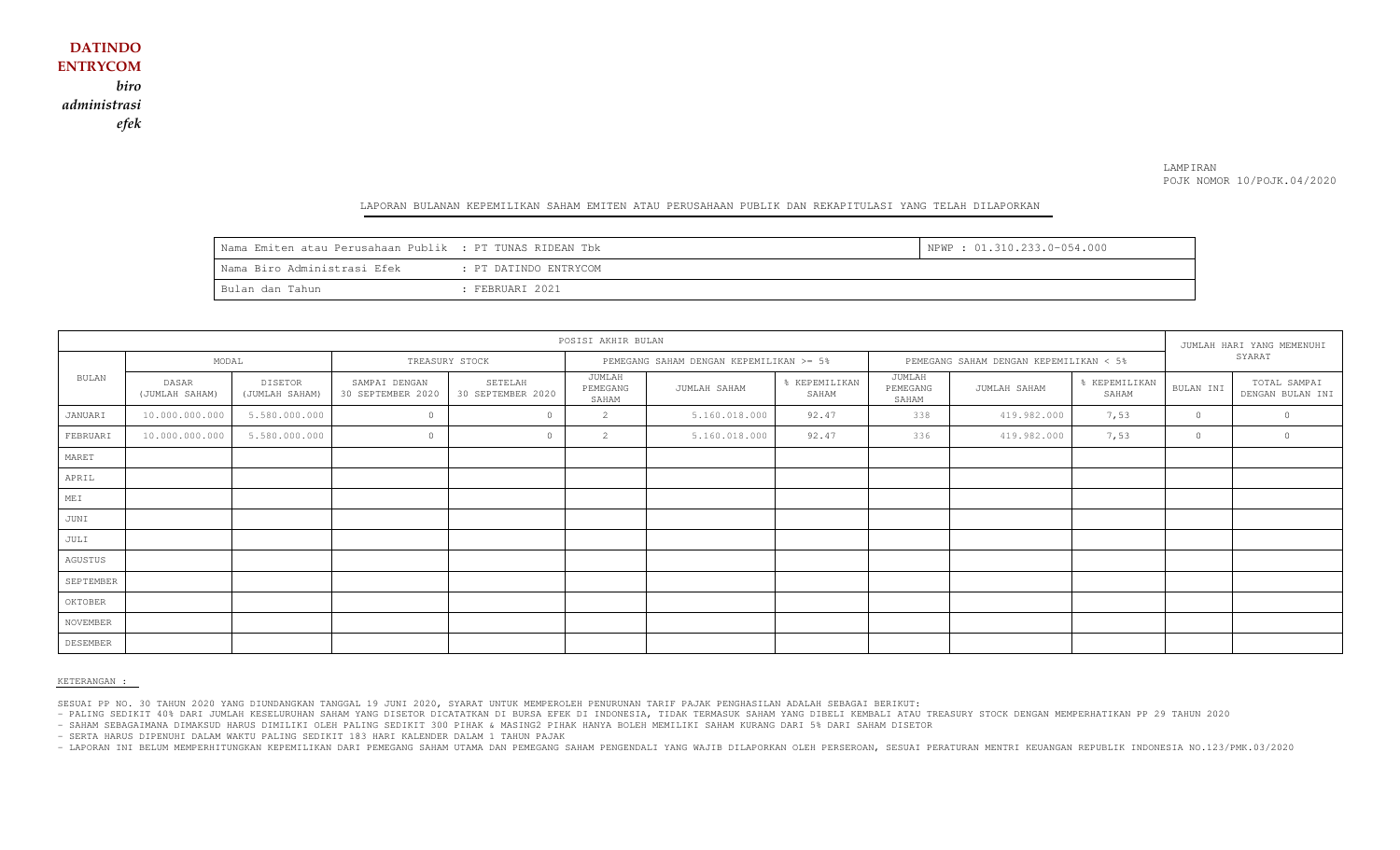## LAMPIRAN POJK NOMOR 10/POJK.04/2020

#### LAPORAN BULANAN KEPEMILIKAN SAHAM EMITEN ATAU PERUSAHAAN PUBLIK DAN REKAPITULASI YANG TELAH DILAPORKAN

| Nama Emiten atau Perusahaan Publik : PT TUNAS RIDEAN Tbk |                       | NPWP : 01.310.233.0-054.000 |
|----------------------------------------------------------|-----------------------|-----------------------------|
| l Nama Biro Administrasi Efek                            | : PT DATINDO ENTRYCOM |                             |
| Bulan dan Tahun                                          | FEBRUARI 2021         |                             |

| POSISI AKHIR BULAN |                         |                           |                                    |                              |                                         |               |                                        |                             | JUMLAH HARI YANG MEMENUHI |                        |           |                                  |
|--------------------|-------------------------|---------------------------|------------------------------------|------------------------------|-----------------------------------------|---------------|----------------------------------------|-----------------------------|---------------------------|------------------------|-----------|----------------------------------|
|                    | MODAL                   |                           | TREASURY STOCK                     |                              | PEMEGANG SAHAM DENGAN KEPEMILIKAN >= 5% |               | PEMEGANG SAHAM DENGAN KEPEMILIKAN < 5% |                             |                           | SYARAT                 |           |                                  |
| <b>BULAN</b>       | DASAR<br>(JUMLAH SAHAM) | DISETOR<br>(JUMLAH SAHAM) | SAMPAI DENGAN<br>30 SEPTEMBER 2020 | SETELAH<br>30 SEPTEMBER 2020 | JUMLAH<br>PEMEGANG<br>SAHAM             | JUMLAH SAHAM  | % KEPEMILIKAN<br>SAHAM                 | JUMLAH<br>PEMEGANG<br>SAHAM | JUMLAH SAHAM              | % KEPEMILIKAN<br>SAHAM | BULAN INI | TOTAL SAMPAI<br>DENGAN BULAN INI |
| JANUARI            | 10.000.000.000          | 5.580.000.000             | $\circ$                            | $\circ$                      | $\overline{2}$                          | 5.160.018.000 | 92.47                                  | 338                         | 419.982.000               | 7,53                   | $\circ$   |                                  |
| FEBRUARI           | 10.000.000.000          | 5.580.000.000             | $\Omega$                           | $\cap$                       | $\mathbf{2}$                            | 5.160.018.000 | 92.47                                  | 336                         | 419.982.000               | 7,53                   | $\circ$   | $\circ$                          |
| MARET              |                         |                           |                                    |                              |                                         |               |                                        |                             |                           |                        |           |                                  |
| APRIL              |                         |                           |                                    |                              |                                         |               |                                        |                             |                           |                        |           |                                  |
| MEI                |                         |                           |                                    |                              |                                         |               |                                        |                             |                           |                        |           |                                  |
| JUNI               |                         |                           |                                    |                              |                                         |               |                                        |                             |                           |                        |           |                                  |
| JULI               |                         |                           |                                    |                              |                                         |               |                                        |                             |                           |                        |           |                                  |
| AGUSTUS            |                         |                           |                                    |                              |                                         |               |                                        |                             |                           |                        |           |                                  |
| SEPTEMBER          |                         |                           |                                    |                              |                                         |               |                                        |                             |                           |                        |           |                                  |
| OKTOBER            |                         |                           |                                    |                              |                                         |               |                                        |                             |                           |                        |           |                                  |
| NOVEMBER           |                         |                           |                                    |                              |                                         |               |                                        |                             |                           |                        |           |                                  |
| DESEMBER           |                         |                           |                                    |                              |                                         |               |                                        |                             |                           |                        |           |                                  |

### KETERANGAN :

SESUAI PP NO. 30 TAHUN 2020 YANG DIUNDANGKAN TANGGAL 19 JUNI 2020, SYARAT UNTUK MEMPEROLEH PENURUNAN TARIF PAJAK PENGHASILAN ADALAH SEBAGAI BERIKUT:

- PALING SEDIKIT 40% DARI JUMLAH KESELURUHAN SAHAM YANG DISETOR DICATATKAN DI BURSA EFEK DI INDONESIA, TIDAK TERMASUK SAHAM YANG DIBELI KEMBALI ATAU TREASURY STOCK DENGAN MEMPERHATIKAN PP 29 TAHUN 2020

- SAHAM SEBAGAIMANA DIMAKSUD HARUS DIMILIKI OLEH PALING SEDIKIT 300 PIHAK & MASING2 PIHAK HANYA BOLEH MEMILIKI SAHAM KURANG DARI 5% DARI SAHAM DISETOR

- SERTA HARUS DIPENUHI DALAM WAKTU PALING SEDIKIT 183 HARI KALENDER DALAM 1 TAHUN PAJAK

- LAPORAN INI BELUM MEMPERHITUNGKAN KEPEMILIKAN DARI PEMEGANG SAHAM UTAMA DAN PEMEGANG SAHAM PENGENDALI YANG WAJIB DILAPORKAN OLEH PERSEROAN, SESUAI PERATURAN MENTRI KEUANGAN REPUBLIK INDONESIA NO.123/PMK.03/2020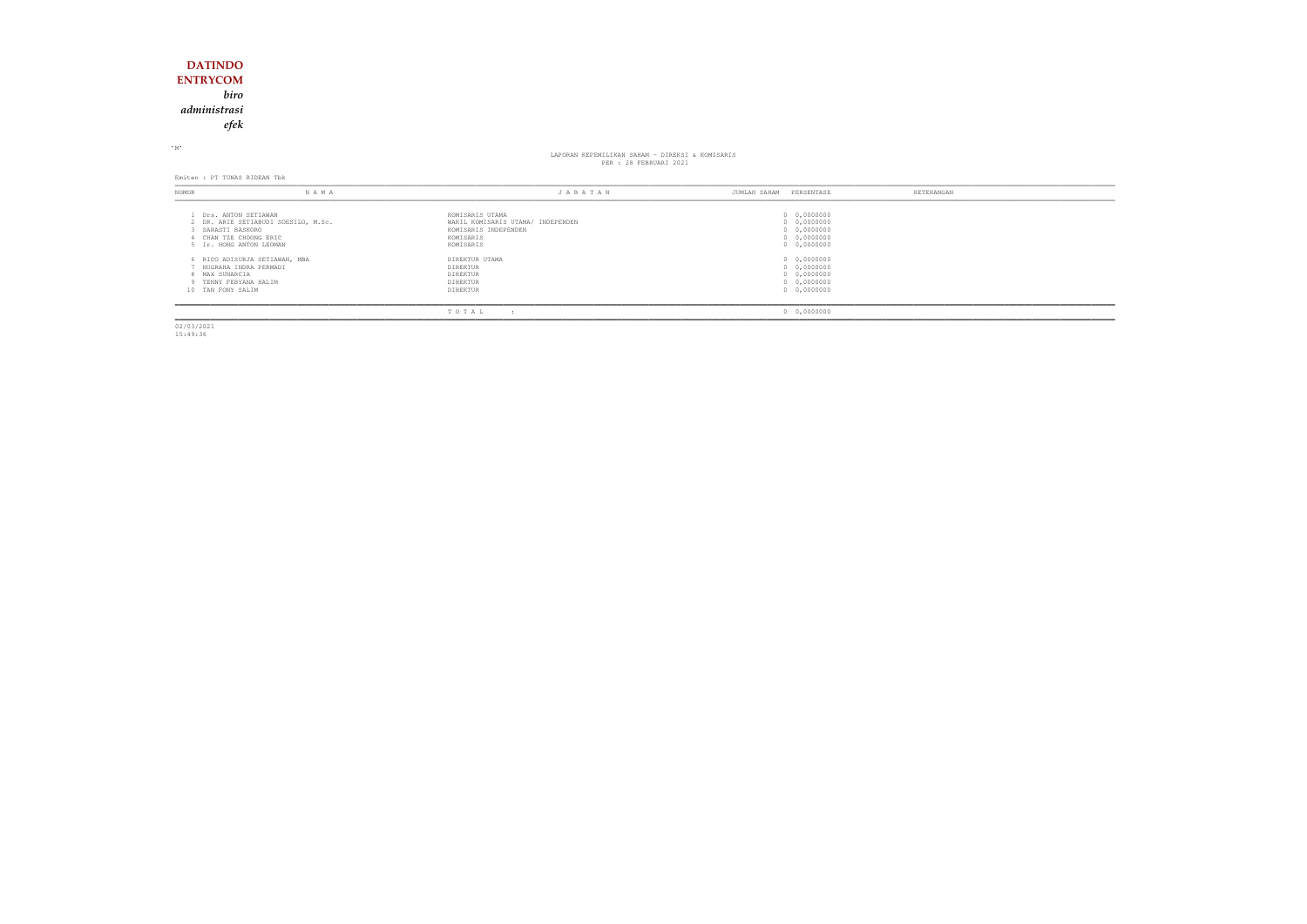# **DATINDO ENTRYCOM** *biro administrasiefek*

### <sup>M</sup>

# LAPORAN KEPEMILIKAN SAHAM KEPEMILIKAN SAHAM - DIREKSI & KOMISARIS<br>PER : 28 FEBRUARI 2021

Emiten : PT TUNAS RIDEAN Tbk

| NOMOR                                                                | N A M A                             | JABATAN                                              | JUMLAH SAHAM<br>PERSENTASE                | KETERANGAN |
|----------------------------------------------------------------------|-------------------------------------|------------------------------------------------------|-------------------------------------------|------------|
| Drs. ANTON SETIAWAN                                                  | 2 DR. ARIE SETIABUDI SOESILO, M.Sc. | KOMISARIS UTAMA<br>WAKIL KOMISARIS UTAMA/ INDEPENDEN | 0 0,0000000<br>0 0,0000000                |            |
| 3 SARASTI BASKORO<br>CHAN TZE CHOONG ERIC<br>5 Ir. HONG ANTON LEOMAN |                                     | KOMISARIS INDEPENDEN<br>KOMISARIS<br>KOMISARIS       | 0 0,0000000<br>0 0,0000000<br>0 0,0000000 |            |
| NUGRAHA INDRA PERMADI                                                | 6 RICO ADISURJA SETIAWAN, MBA       | DIREKTUR UTAMA<br>DIREKTUR                           | 0 0,0000000<br>0 0,0000000                |            |
| 8 MAX SUNARCIA<br>TENNY FEBYANA HALIM<br>10 TAN FONY SALIM           |                                     | DIREKTUR<br>DIREKTUR<br>DIREKTUR                     | 0 0,0000000<br>0 0,0000000<br>0 0,0000000 |            |
|                                                                      |                                     | TOTAL                                                | 0 0,0000000                               |            |

02/03/2021 15:49:36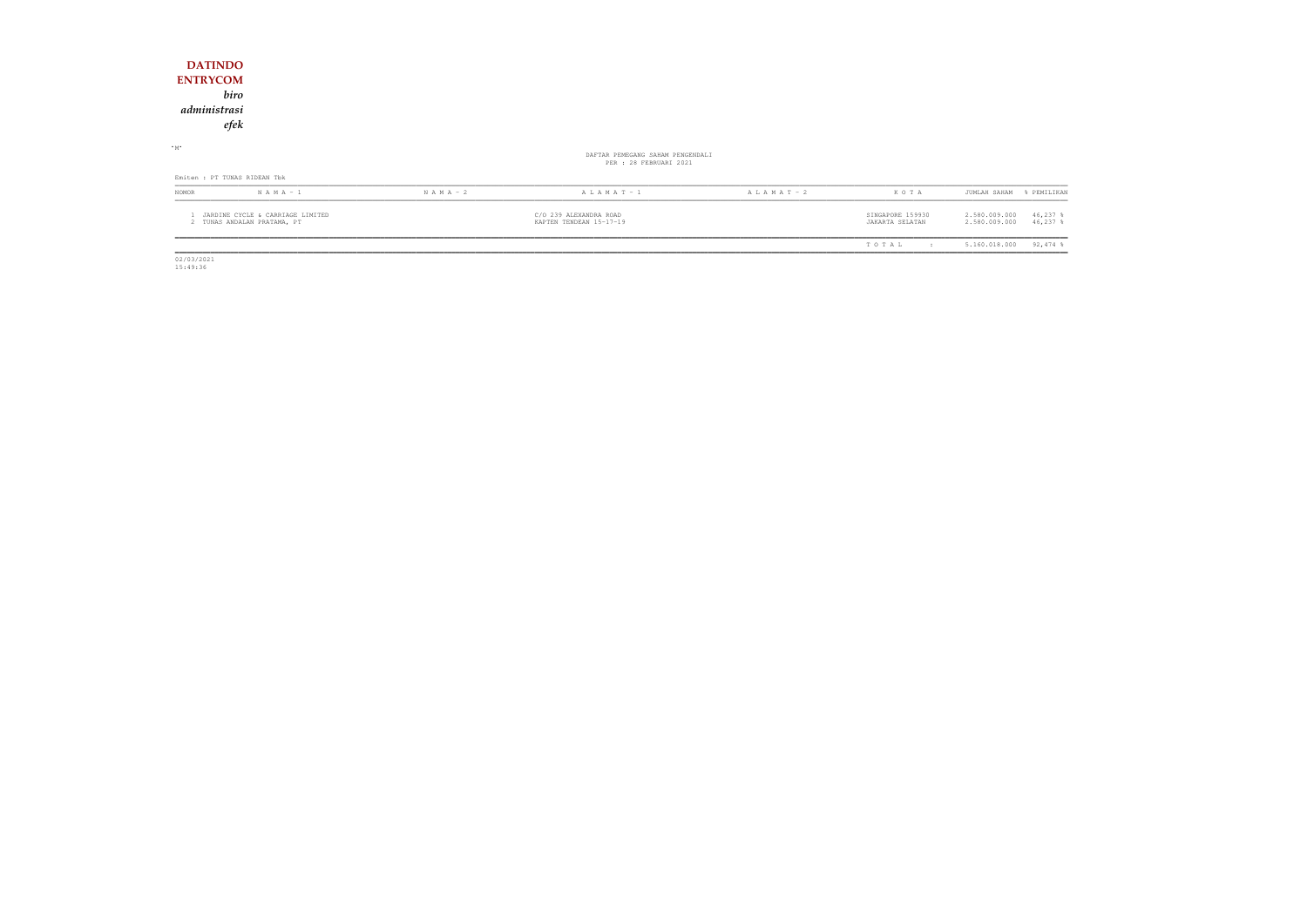| <b>DATINDO</b><br><b>ENTRYCOM</b><br>administrasi | biro<br>efek                                                    |               |                                                            |                 |                                     |                                                            |
|---------------------------------------------------|-----------------------------------------------------------------|---------------|------------------------------------------------------------|-----------------|-------------------------------------|------------------------------------------------------------|
| $-M$                                              |                                                                 |               | DAFTAR PEMEGANG SAHAM PENGENDALI<br>PER : 28 FEBRUARI 2021 |                 |                                     |                                                            |
|                                                   | Emiten : PT TUNAS RIDEAN Tbk                                    |               |                                                            |                 |                                     |                                                            |
| NOMOR                                             | $N A M A - 1$                                                   | $N A M A - 2$ | $A L A M A T - 1$                                          | A L A M A T - 2 | KOTA                                | JUMLAH SAHAM<br>% PEMILIKAN                                |
|                                                   | JARDINE CYCLE & CARRIAGE LIMITED<br>2 TUNAS ANDALAN PRATAMA, PT |               | C/O 239 ALEXANDRA ROAD<br>KAPTEN TENDEAN 15-17-19          |                 | SINGAPORE 159930<br>JAKARTA SELATAN | 2.580.009.000<br>$46,237$ %<br>2.580.009.000<br>$46,237$ % |
|                                                   |                                                                 |               |                                                            |                 | TOTAL<br>$\cdot$ :                  | $92,474$ %<br>5.160.018.000                                |

 $\begin{array}{c} \hline \hline 02/03/2021 \\ 15:49:36 \end{array}$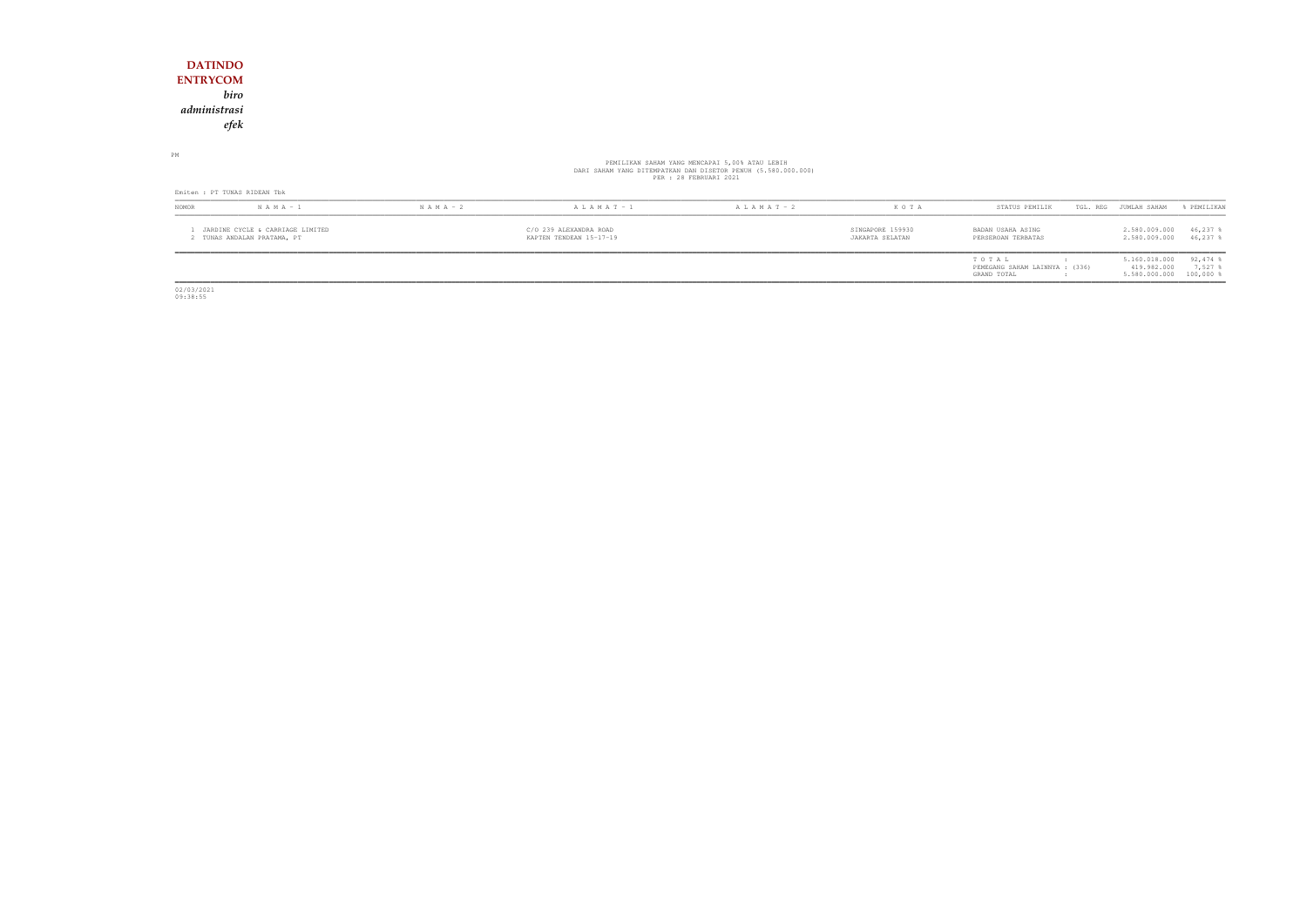# **DATINDO ENTRYCOM** *biro administrasiefek*

PM

# PEMILIKAN SAHAM YANG MENCAPAI 5,00% ATAU LEBIH<br>DARI SAHAM YANG DITEMPATKAN DAN DISETOR PENUH (5.580.000.000)<br>PER : 28 FEBRUARI 2021

| Emiten : PT TUNAS RIDEAN Tbk |                                                                 |                                                   |                   |                   |                                     |                                                        |                       |                                                         |                      |
|------------------------------|-----------------------------------------------------------------|---------------------------------------------------|-------------------|-------------------|-------------------------------------|--------------------------------------------------------|-----------------------|---------------------------------------------------------|----------------------|
| <b>NOMOR</b>                 | $N A M A - 1$                                                   | $N A M A - 2$                                     | $A L A M A T - 1$ | $A L A M A T - 2$ | KOTA                                | STATUS PEMILIK                                         | TGL. REG JUMLAH SAHAM |                                                         | % PEMILIKAN          |
|                              | JARDINE CYCLE & CARRIAGE LIMITED<br>! TUNAS ANDALAN PRATAMA, PT | C/O 239 ALEXANDRA ROAD<br>KAPTEN TENDEAN 15-17-19 |                   |                   | SINGAPORE 159930<br>JAKARTA SELATAN | BADAN USAHA ASING<br>PERSEROAN TERBATAS                |                       | 2.580.009.000<br>2.580.009.000                          | 46,237<br>46,237 \$  |
|                              |                                                                 |                                                   |                   |                   |                                     | TOTAL<br>PEMEGANG SAHAM LAINNYA : (336)<br>GRAND TOTAL |                       | 5.160.018.000<br>419.982.000<br>5.580.000.000 100,000 % | $92,474$ \$<br>7,527 |

02/03/2021 09:38:55